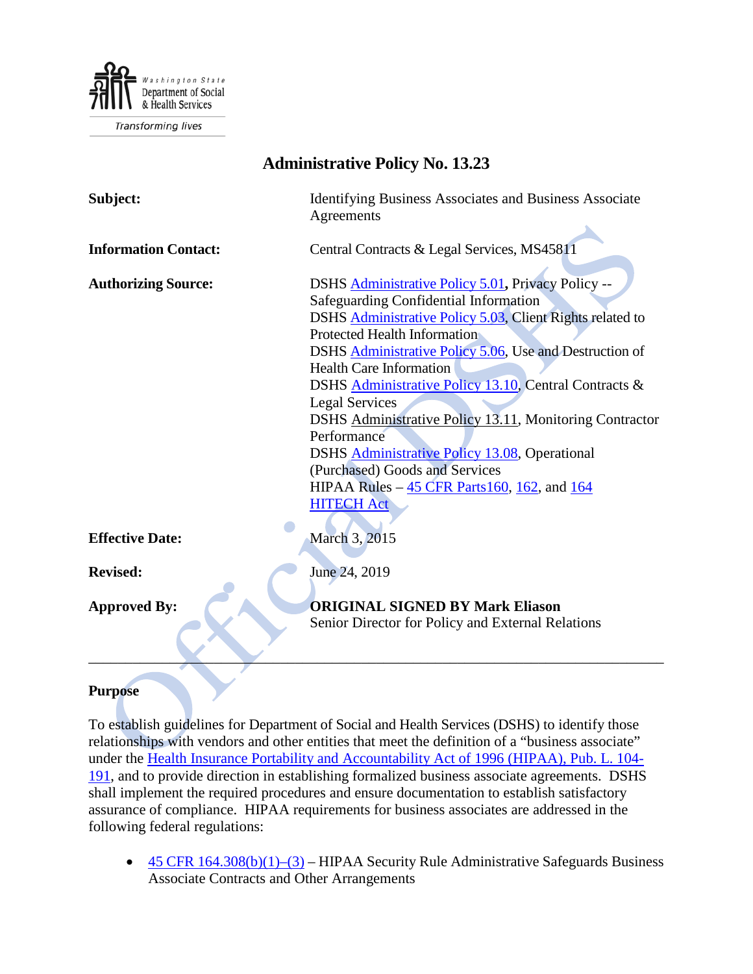

| Adililiisti auve 1 olicy 190. 19.29                                                                                                                                                                                                                                                                                                                                                                                                                                                                                                                                                                               |  |  |  |
|-------------------------------------------------------------------------------------------------------------------------------------------------------------------------------------------------------------------------------------------------------------------------------------------------------------------------------------------------------------------------------------------------------------------------------------------------------------------------------------------------------------------------------------------------------------------------------------------------------------------|--|--|--|
| Identifying Business Associates and Business Associate<br>Agreements                                                                                                                                                                                                                                                                                                                                                                                                                                                                                                                                              |  |  |  |
| Central Contracts & Legal Services, MS45811                                                                                                                                                                                                                                                                                                                                                                                                                                                                                                                                                                       |  |  |  |
| DSHS Administrative Policy 5.01, Privacy Policy --<br>Safeguarding Confidential Information<br>DSHS Administrative Policy 5.03, Client Rights related to<br><b>Protected Health Information</b><br>DSHS Administrative Policy 5.06, Use and Destruction of<br><b>Health Care Information</b><br>DSHS Administrative Policy 13.10, Central Contracts &<br><b>Legal Services</b><br>DSHS Administrative Policy 13.11, Monitoring Contractor<br>Performance<br>DSHS Administrative Policy 13.08, Operational<br>(Purchased) Goods and Services<br>HIPAA Rules $-45$ CFR Parts 160, 162, and 164<br><b>HITECH Act</b> |  |  |  |
| March 3, 2015                                                                                                                                                                                                                                                                                                                                                                                                                                                                                                                                                                                                     |  |  |  |
| June 24, 2019                                                                                                                                                                                                                                                                                                                                                                                                                                                                                                                                                                                                     |  |  |  |
| <b>ORIGINAL SIGNED BY Mark Eliason</b><br>Senior Director for Policy and External Relations                                                                                                                                                                                                                                                                                                                                                                                                                                                                                                                       |  |  |  |
|                                                                                                                                                                                                                                                                                                                                                                                                                                                                                                                                                                                                                   |  |  |  |

# **Administrative Policy No. 13.23**

#### **Purpose**

To establish guidelines for Department of Social and Health Services (DSHS) to identify those relationships with vendors and other entities that meet the definition of a "business associate" under the [Health Insurance Portability and Accountability Act of 1996 \(HIPAA\), Pub. L. 104-](http://www.gpo.gov/fdsys/pkg/PLAW-104publ191/content-detail.html) [191,](http://www.gpo.gov/fdsys/pkg/PLAW-104publ191/content-detail.html) and to provide direction in establishing formalized business associate agreements. DSHS shall implement the required procedures and ensure documentation to establish satisfactory assurance of compliance. HIPAA requirements for business associates are addressed in the following federal regulations:

• 45 CFR  $164.308(b)(1)-(3)$  – HIPAA Security Rule Administrative Safeguards Business Associate Contracts and Other Arrangements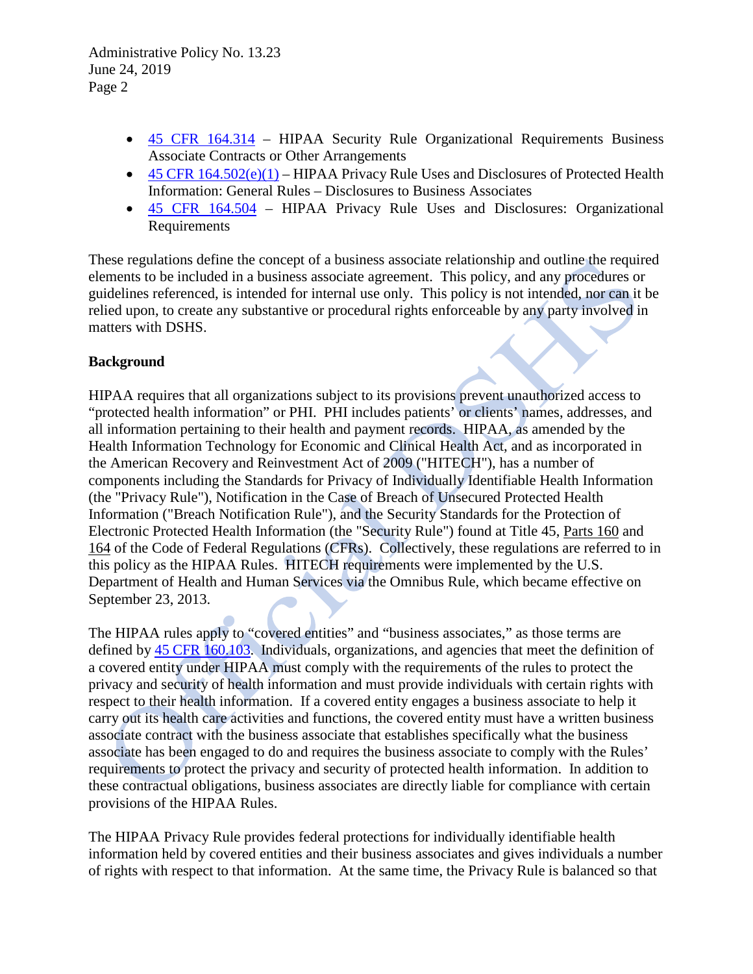- [45 CFR 164.314](http://www.ecfr.gov/cgi-bin/text-idx?SID=b0e39572dfe4b77efd00a2eb9da886f1&node=se45.1.164_1314&rgn=div8) HIPAA Security Rule Organizational Requirements Business Associate Contracts or Other Arrangements
- 45 CFR  $164.502(e)(1)$  HIPAA Privacy Rule Uses and Disclosures of Protected Health Information: General Rules – Disclosures to Business Associates
- [45 CFR 164.504](http://www.ecfr.gov/cgi-bin/text-idx?SID=b0e39572dfe4b77efd00a2eb9da886f1&node=se45.1.164_1504&rgn=div8) HIPAA Privacy Rule Uses and Disclosures: Organizational Requirements

These regulations define the concept of a business associate relationship and outline the required elements to be included in a business associate agreement. This policy, and any procedures or guidelines referenced, is intended for internal use only. This policy is not intended, nor can it be relied upon, to create any substantive or procedural rights enforceable by any party involved in matters with DSHS.

### **Background**

HIPAA requires that all organizations subject to its provisions prevent unauthorized access to "protected health information" or PHI. PHI includes patients' or clients' names, addresses, and all information pertaining to their health and payment records. HIPAA, as amended by the Health Information Technology for Economic and Clinical Health Act, and as incorporated in the American Recovery and Reinvestment Act of 2009 ("HITECH"), has a number of components including the Standards for Privacy of Individually Identifiable Health Information (the "Privacy Rule"), Notification in the Case of Breach of Unsecured Protected Health Information ("Breach Notification Rule"), and the Security Standards for the Protection of Electronic Protected Health Information (the "Security Rule") found at Title 45, [Parts 160](http://www.ecfr.gov/cgi-bin/text-idx?SID=b0e39572dfe4b77efd00a2eb9da886f1&node=pt45.1.160&rgn=div5) and [164](http://www.ecfr.gov/cgi-bin/text-idx?SID=b0e39572dfe4b77efd00a2eb9da886f1&node=pt45.1.164&rgn=div5) of the Code of Federal Regulations (CFRs). Collectively, these regulations are referred to in this policy as the HIPAA Rules. HITECH requirements were implemented by the U.S. Department of Health and Human Services via the Omnibus Rule, which became effective on September 23, 2013.

The HIPAA rules apply to "covered entities" and "business associates," as those terms are defined by [45 CFR 160.103.](http://www.ecfr.gov/cgi-bin/text-idx?SID=514bad6e2f27a42e8e07ea6c66db3592&node=se45.1.160_1103&rgn=div8) Individuals, organizations, and agencies that meet the definition of a covered entity under HIPAA must comply with the requirements of the rules to protect the privacy and security of health information and must provide individuals with certain rights with respect to their health information. If a covered entity engages a business associate to help it carry out its health care activities and functions, the covered entity must have a written business associate contract with the business associate that establishes specifically what the business associate has been engaged to do and requires the business associate to comply with the Rules' requirements to protect the privacy and security of protected health information. In addition to these contractual obligations, business associates are directly liable for compliance with certain provisions of the HIPAA Rules.

The HIPAA Privacy Rule provides federal protections for individually identifiable health information held by covered entities and their business associates and gives individuals a number of rights with respect to that information. At the same time, the Privacy Rule is balanced so that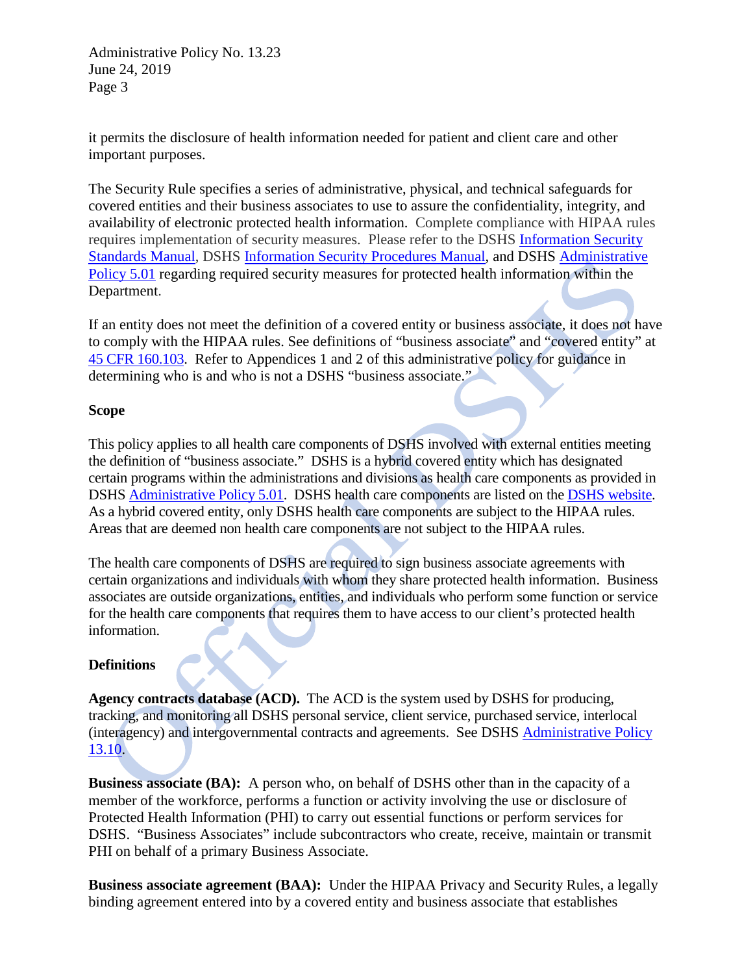it permits the disclosure of health information needed for patient and client care and other important purposes.

The Security Rule specifies a series of administrative, physical, and technical safeguards for covered entities and their business associates to use to assure the confidentiality, integrity, and availability of electronic protected health information. Complete compliance with HIPAA rules requires implementation of security measures. Please refer to the DSHS [Information Security](http://ishare.dshs.wa.lcl/Security/Manuals/Pages/default.aspx)  [Standards Manual,](http://ishare.dshs.wa.lcl/Security/Manuals/Pages/default.aspx) DSHS [Information Security Procedures Manual,](http://ishare.dshs.wa.lcl/Security/Manual/DSHS_IT_Sec_Proc.pdf) and DSHS [Administrative](http://one.dshs.wa.lcl/Policies/Administrative/DSHS-AP-05-01.pdf)  [Policy 5.01](http://one.dshs.wa.lcl/Policies/Administrative/DSHS-AP-05-01.pdf) regarding required security measures for protected health information within the Department.

If an entity does not meet the definition of a covered entity or business associate, it does not have to comply with the HIPAA rules. See definitions of "business associate" and "covered entity" at [45 CFR 160.103.](http://www.ecfr.gov/cgi-bin/text-idx?SID=514bad6e2f27a42e8e07ea6c66db3592&node=se45.1.160_1103&rgn=div8) Refer to Appendices 1 and 2 of this administrative policy for guidance in determining who is and who is not a DSHS "business associate."

#### **Scope**

This policy applies to all health care components of DSHS involved with external entities meeting the definition of "business associate." DSHS is a hybrid covered entity which has designated certain programs within the administrations and divisions as health care components as provided in DSHS [Administrative Policy 5.01.](http://one.dshs.wa.lcl/Policies/Administrative/DSHS-AP-05-01.pdf) DSHS health care components are listed on th[e DSHS website.](https://www.dshs.wa.gov/sites/default/files/FSA/forms/pdf/03-387add.pdf) As a hybrid covered entity, only DSHS health care components are subject to the HIPAA rules. Areas that are deemed non health care components are not subject to the HIPAA rules.

The health care components of DSHS are required to sign business associate agreements with certain organizations and individuals with whom they share protected health information. Business associates are outside organizations, entities, and individuals who perform some function or service for the health care components that requires them to have access to our client's protected health information.

### **Definitions**

**Agency contracts database (ACD).** The ACD is the system used by DSHS for producing, tracking, and monitoring all DSHS personal service, client service, purchased service, interlocal (interagency) and intergovernmental contracts and agreements. See DSHS [Administrative Policy](http://one.dshs.wa.lcl/Policies/Administrative/DSHS-AP-13-10.pdf)  [13.10.](http://one.dshs.wa.lcl/Policies/Administrative/DSHS-AP-13-10.pdf)

**Business associate (BA):** A person who, on behalf of DSHS other than in the capacity of a member of the workforce, performs a function or activity involving the use or disclosure of Protected Health Information (PHI) to carry out essential functions or perform services for DSHS. "Business Associates" include subcontractors who create, receive, maintain or transmit PHI on behalf of a primary Business Associate.

**Business associate agreement (BAA):** Under the HIPAA Privacy and Security Rules, a legally binding agreement entered into by a covered entity and business associate that establishes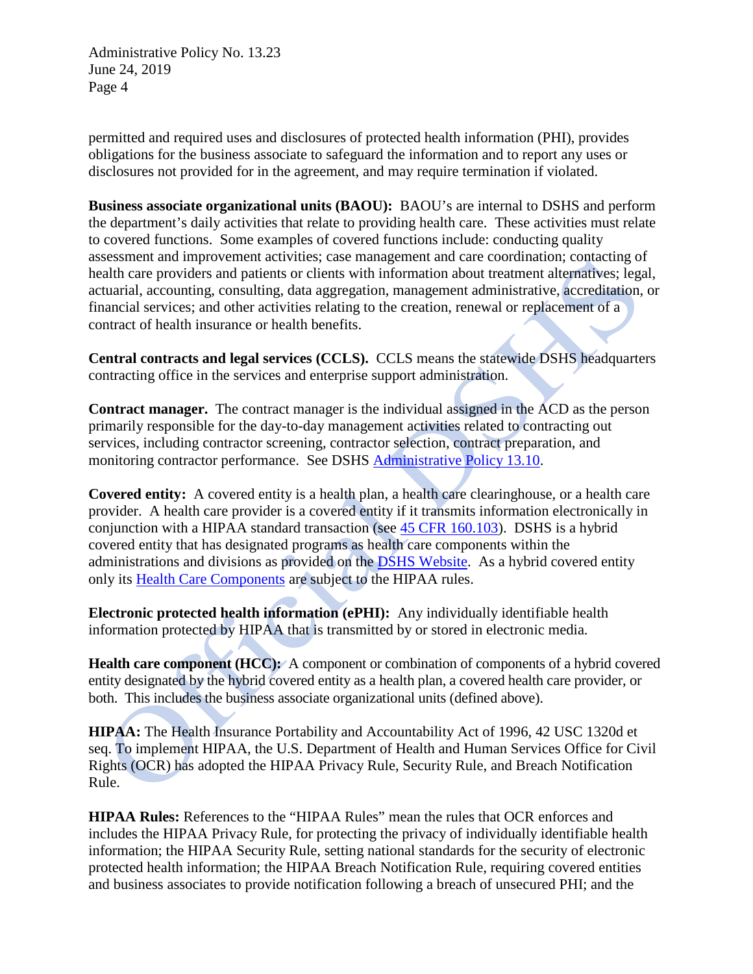permitted and required uses and disclosures of protected health information (PHI), provides obligations for the business associate to safeguard the information and to report any uses or disclosures not provided for in the agreement, and may require termination if violated.

**Business associate organizational units (BAOU):** BAOU's are internal to DSHS and perform the department's daily activities that relate to providing health care. These activities must relate to covered functions. Some examples of covered functions include: conducting quality assessment and improvement activities; case management and care coordination; contacting of health care providers and patients or clients with information about treatment alternatives; legal, actuarial, accounting, consulting, data aggregation, management administrative, accreditation, or financial services; and other activities relating to the creation, renewal or replacement of a contract of health insurance or health benefits.

**Central contracts and legal services (CCLS).** CCLS means the statewide DSHS headquarters contracting office in the services and enterprise support administration.

**Contract manager.** The contract manager is the individual assigned in the ACD as the person primarily responsible for the day-to-day management activities related to contracting out services, including contractor screening, contractor selection, contract preparation, and monitoring contractor performance. See DSHS [Administrative Policy 13.10.](http://one.dshs.wa.lcl/Policies/Administrative/DSHS-AP-13-10.pdf)

**Covered entity:** A covered entity is a health plan, a health care clearinghouse, or a health care provider. A health care provider is a covered entity if it transmits information electronically in conjunction with a HIPAA standard transaction (see [45 CFR 160.103\)](http://www.ecfr.gov/cgi-bin/text-idx?SID=514bad6e2f27a42e8e07ea6c66db3592&node=se45.1.160_1103&rgn=div8). DSHS is a hybrid covered entity that has designated programs as health care components within the administrations and divisions as provided on the [DSHS Website.](https://www.dshs.wa.gov/sites/default/files/FSA/forms/pdf/03-387add.pdf) As a hybrid covered entity only its [Health Care Components](https://www.dshs.wa.gov/sites/default/files/FSA/forms/pdf/03-387add.pdf) are subject to the HIPAA rules.

**Electronic protected health information (ePHI):** Any individually identifiable health information protected by HIPAA that is transmitted by or stored in electronic media.

**Health care component (HCC):** A component or combination of components of a hybrid covered entity designated by the hybrid covered entity as a health plan, a covered health care provider, or both. This includes the business associate organizational units (defined above).

**HIPAA:** The Health Insurance Portability and Accountability Act of 1996, 42 USC 1320d et seq. To implement HIPAA, the U.S. Department of Health and Human Services Office for Civil Rights (OCR) has adopted the HIPAA Privacy Rule, Security Rule, and Breach Notification Rule.

**HIPAA Rules:** References to the "HIPAA Rules" mean the rules that OCR enforces and includes the HIPAA Privacy Rule, for protecting the privacy of individually identifiable health information; the HIPAA Security Rule, setting national standards for the security of electronic protected health information; the HIPAA Breach Notification Rule, requiring covered entities and business associates to provide notification following a breach of unsecured PHI; and the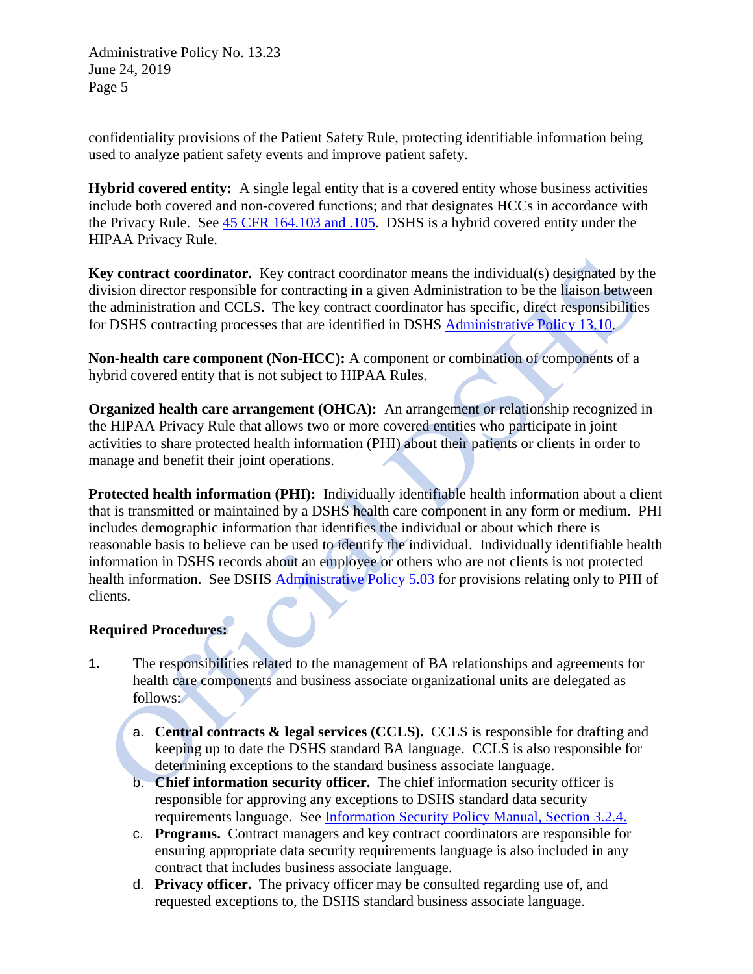confidentiality provisions of the Patient Safety Rule, protecting identifiable information being used to analyze patient safety events and improve patient safety.

**Hybrid covered entity:** A single legal entity that is a covered entity whose business activities include both covered and non-covered functions; and that designates HCCs in accordance with the Privacy Rule. See [45 CFR 164.103](http://www.ecfr.gov/cgi-bin/text-idx?SID=b0e39572dfe4b77efd00a2eb9da886f1&node=pt45.1.164&rgn=div5) and .105. DSHS is a hybrid covered entity under the HIPAA Privacy Rule.

**Key contract coordinator.** Key contract coordinator means the individual(s) designated by the division director responsible for contracting in a given Administration to be the liaison between the administration and CCLS. The key contract coordinator has specific, direct responsibilities for DSHS contracting processes that are identified in DSHS [Administrative Policy 13.10.](http://one.dshs.wa.lcl/Policies/Administrative/DSHS-AP-13-10.pdf)

**Non-health care component (Non-HCC):** A component or combination of components of a hybrid covered entity that is not subject to HIPAA Rules.

**Organized health care arrangement (OHCA):** An arrangement or relationship recognized in the HIPAA Privacy Rule that allows two or more covered entities who participate in joint activities to share protected health information (PHI) about their patients or clients in order to manage and benefit their joint operations.

**Protected health information (PHI):** Individually identifiable health information about a client that is transmitted or maintained by a DSHS health care component in any form or medium. PHI includes demographic information that identifies the individual or about which there is reasonable basis to believe can be used to identify the individual. Individually identifiable health information in DSHS records about an employee or others who are not clients is not protected health information. See DSHS [Administrative Policy 5.03](http://one.dshs.wa.lcl/Policies/Administrative/DSHS-AP-05-03.pdf) for provisions relating only to PHI of clients.

### **Required Procedures:**

- **1.** The responsibilities related to the management of BA relationships and agreements for health care components and business associate organizational units are delegated as follows:
	- a. **Central contracts & legal services (CCLS).** CCLS is responsible for drafting and keeping up to date the DSHS standard BA language. CCLS is also responsible for determining exceptions to the standard business associate language.
	- b. **Chief information security officer.** The chief information security officer is responsible for approving any exceptions to DSHS standard data security requirements language. See [Information Security Policy Manual, Section 3.2.4.](http://ishare.dshs.wa.lcl/Security/Manuals/Standards/Pages/GeneralProtectionRequirements.aspx)
	- c. **Programs.** Contract managers and key contract coordinators are responsible for ensuring appropriate data security requirements language is also included in any contract that includes business associate language.
	- d. **Privacy officer.** The privacy officer may be consulted regarding use of, and requested exceptions to, the DSHS standard business associate language.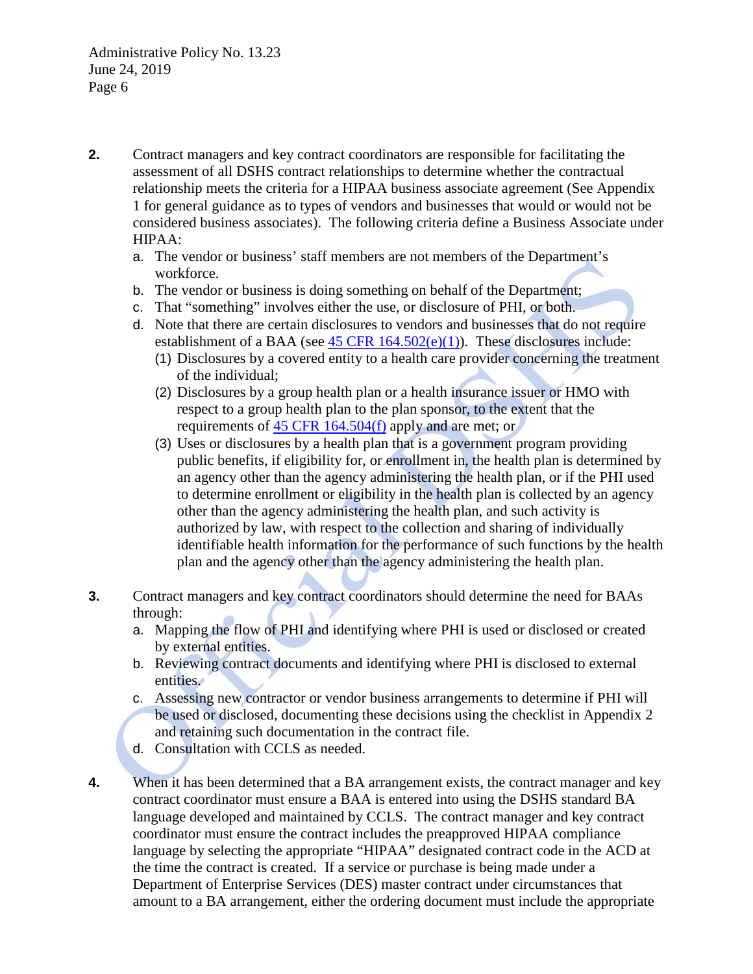- **2.** Contract managers and key contract coordinators are responsible for facilitating the assessment of all DSHS contract relationships to determine whether the contractual relationship meets the criteria for a HIPAA business associate agreement (See Appendix 1 for general guidance as to types of vendors and businesses that would or would not be considered business associates). The following criteria define a Business Associate under HIPAA:
	- a. The vendor or business' staff members are not members of the Department's workforce.
	- b. The vendor or business is doing something on behalf of the Department;
	- c. That "something" involves either the use, or disclosure of PHI, or both.
	- d. Note that there are certain disclosures to vendors and businesses that do not require establishment of a BAA (see  $45$  CFR  $164.502(e)(1)$ ). These disclosures include:
		- (1) Disclosures by a covered entity to a health care provider concerning the treatment of the individual;
		- (2) Disclosures by a group health plan or a health insurance issuer or HMO with respect to a group health plan to the plan sponsor, to the extent that the requirements of [45 CFR 164.504\(f\)](http://www.ecfr.gov/cgi-bin/text-idx?SID=b38f403f2568da3d8e10ad6a365c74ab&node=pt45.1.164&rgn=div5#se45.1.164_1504) apply and are met; or
		- (3) Uses or disclosures by a health plan that is a government program providing public benefits, if eligibility for, or enrollment in, the health plan is determined by an agency other than the agency administering the health plan, or if the PHI used to determine enrollment or eligibility in the health plan is collected by an agency other than the agency administering the health plan, and such activity is authorized by law, with respect to the collection and sharing of individually identifiable health information for the performance of such functions by the health plan and the agency other than the agency administering the health plan.
- **3.** Contract managers and key contract coordinators should determine the need for BAAs through:
	- a. Mapping the flow of PHI and identifying where PHI is used or disclosed or created by external entities.
	- b. Reviewing contract documents and identifying where PHI is disclosed to external entities.
	- c. Assessing new contractor or vendor business arrangements to determine if PHI will be used or disclosed, documenting these decisions using the checklist in Appendix 2 and retaining such documentation in the contract file.
	- d. Consultation with CCLS as needed.
- **4.** When it has been determined that a BA arrangement exists, the contract manager and key contract coordinator must ensure a BAA is entered into using the DSHS standard BA language developed and maintained by CCLS. The contract manager and key contract coordinator must ensure the contract includes the preapproved HIPAA compliance language by selecting the appropriate "HIPAA" designated contract code in the ACD at the time the contract is created. If a service or purchase is being made under a Department of Enterprise Services (DES) master contract under circumstances that amount to a BA arrangement, either the ordering document must include the appropriate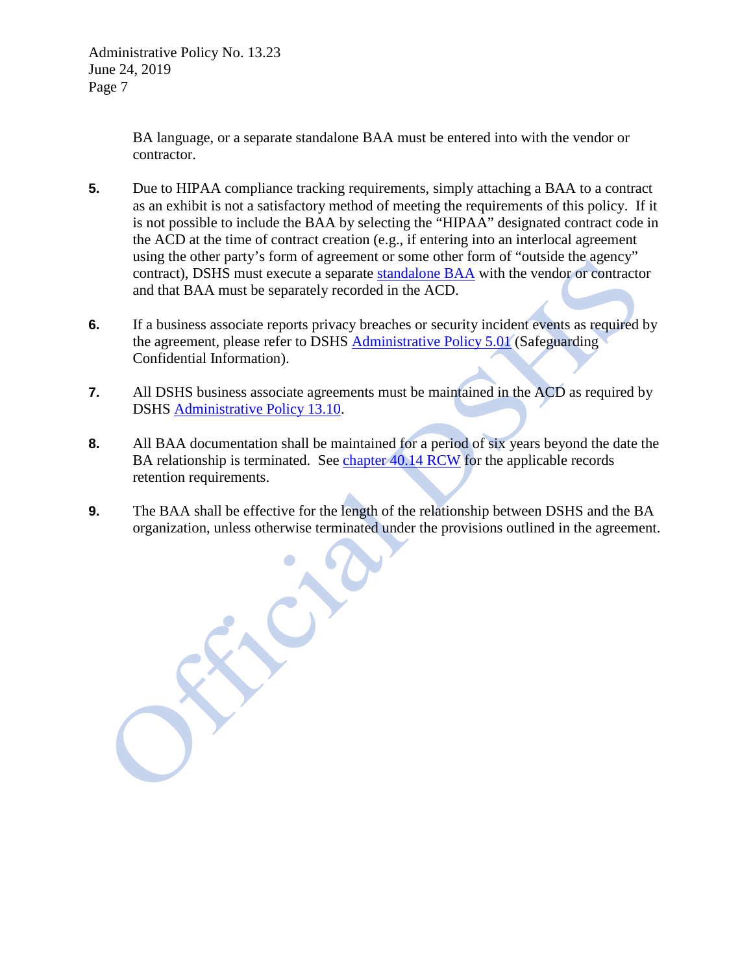BA language, or a separate standalone BAA must be entered into with the vendor or contractor.

- **5.** Due to HIPAA compliance tracking requirements, simply attaching a BAA to a contract as an exhibit is not a satisfactory method of meeting the requirements of this policy. If it is not possible to include the BAA by selecting the "HIPAA" designated contract code in the ACD at the time of contract creation (e.g., if entering into an interlocal agreement using the other party's form of agreement or some other form of "outside the agency" contract), DSHS must execute a separate [standalone BAA](http://one.dshs.wa.lcl/FS/OSS/CCS/CCS%20Group%20Picture/Sample%20Standalone%20Business%20Associate%20Agreement.docx) with the vendor or contractor and that BAA must be separately recorded in the ACD.
- **6.** If a business associate reports privacy breaches or security incident events as required by the agreement, please refer to DSHS [Administrative Policy 5.01](http://one.dshs.wa.lcl/Policies/Administrative/DSHS-AP-05-01.pdf) (Safeguarding Confidential Information).
- **7.** All DSHS business associate agreements must be maintained in the ACD as required by DSHS [Administrative Policy 13.10.](http://one.dshs.wa.lcl/Policies/Administrative/DSHS-AP-13-10.pdf)
- **8.** All BAA documentation shall be maintained for a period of six years beyond the date the BA relationship is terminated. See [chapter 40.14 RCW](http://app.leg.wa.gov/rcw/default.aspx?cite=40.14) for the applicable records retention requirements.
- **9.** The BAA shall be effective for the length of the relationship between DSHS and the BA organization, unless otherwise terminated under the provisions outlined in the agreement.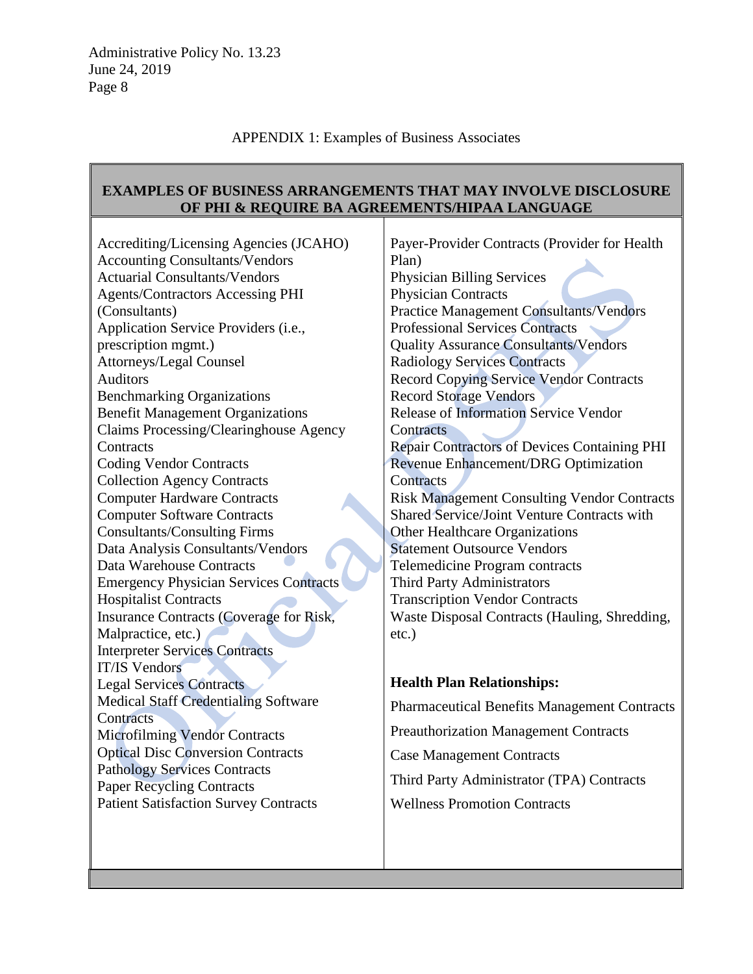### APPENDIX 1: Examples of Business Associates

#### **EXAMPLES OF BUSINESS ARRANGEMENTS THAT MAY INVOLVE DISCLOSURE OF PHI & REQUIRE BA AGREEMENTS/HIPAA LANGUAGE** Τ

| Accrediting/Licensing Agencies (JCAHO)        | Payer-Provider Contracts (Provider for Health       |
|-----------------------------------------------|-----------------------------------------------------|
| <b>Accounting Consultants/Vendors</b>         | Plan)                                               |
| <b>Actuarial Consultants/Vendors</b>          | <b>Physician Billing Services</b>                   |
| <b>Agents/Contractors Accessing PHI</b>       | Physician Contracts                                 |
| (Consultants)                                 | <b>Practice Management Consultants/Vendors</b>      |
| Application Service Providers (i.e.,          | <b>Professional Services Contracts</b>              |
| prescription mgmt.)                           | <b>Quality Assurance Consultants/Vendors</b>        |
| Attorneys/Legal Counsel                       | <b>Radiology Services Contracts</b>                 |
| Auditors                                      | <b>Record Copying Service Vendor Contracts</b>      |
| <b>Benchmarking Organizations</b>             | <b>Record Storage Vendors</b>                       |
| <b>Benefit Management Organizations</b>       | <b>Release of Information Service Vendor</b>        |
| Claims Processing/Clearinghouse Agency        | Contracts                                           |
| Contracts                                     | <b>Repair Contractors of Devices Containing PHI</b> |
| <b>Coding Vendor Contracts</b>                | Revenue Enhancement/DRG Optimization                |
| <b>Collection Agency Contracts</b>            | Contracts                                           |
| <b>Computer Hardware Contracts</b>            | <b>Risk Management Consulting Vendor Contracts</b>  |
| <b>Computer Software Contracts</b>            | <b>Shared Service/Joint Venture Contracts with</b>  |
| <b>Consultants/Consulting Firms</b>           | Other Healthcare Organizations                      |
| Data Analysis Consultants/Vendors             | <b>Statement Outsource Vendors</b>                  |
| Data Warehouse Contracts                      | Telemedicine Program contracts                      |
| <b>Emergency Physician Services Contracts</b> | Third Party Administrators                          |
| <b>Hospitalist Contracts</b>                  | <b>Transcription Vendor Contracts</b>               |
| Insurance Contracts (Coverage for Risk,       | Waste Disposal Contracts (Hauling, Shredding,       |
| Malpractice, etc.)                            | $etc.$ )                                            |
| <b>Interpreter Services Contracts</b>         |                                                     |
| <b>IT/IS Vendors</b>                          |                                                     |
| <b>Legal Services Contracts</b>               | <b>Health Plan Relationships:</b>                   |
| <b>Medical Staff Credentialing Software</b>   | <b>Pharmaceutical Benefits Management Contracts</b> |
| Contracts                                     |                                                     |
| <b>Microfilming Vendor Contracts</b>          | <b>Preauthorization Management Contracts</b>        |
| <b>Optical Disc Conversion Contracts</b>      | <b>Case Management Contracts</b>                    |
| <b>Pathology Services Contracts</b>           |                                                     |
| <b>Paper Recycling Contracts</b>              | Third Party Administrator (TPA) Contracts           |
| <b>Patient Satisfaction Survey Contracts</b>  | <b>Wellness Promotion Contracts</b>                 |
|                                               |                                                     |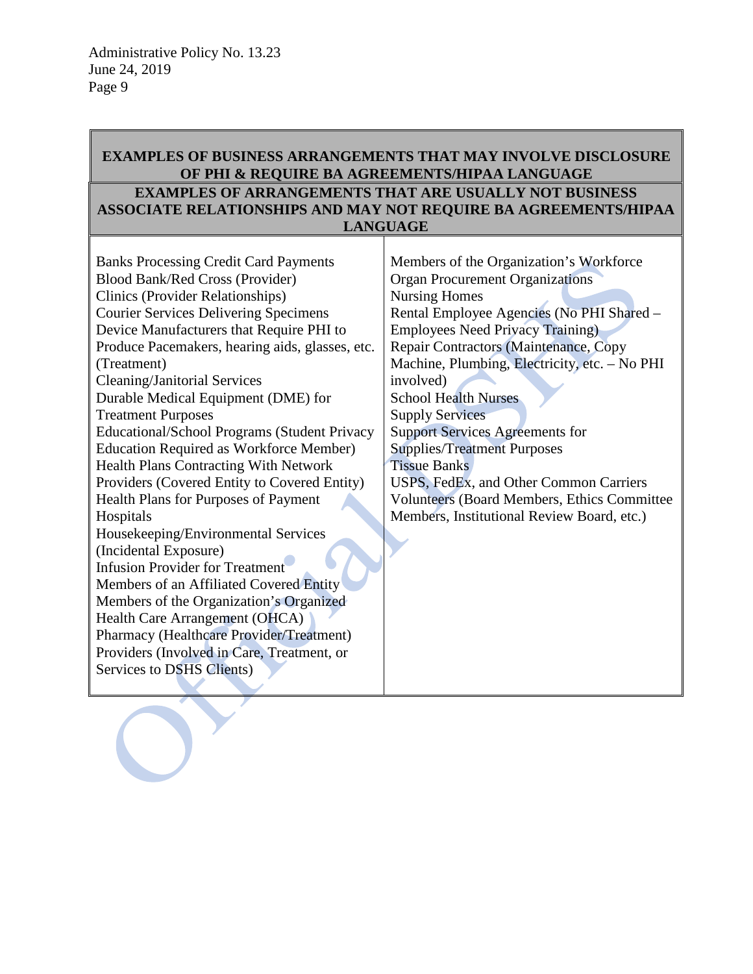## **EXAMPLES OF BUSINESS ARRANGEMENTS THAT MAY INVOLVE DISCLOSURE OF PHI & REQUIRE BA AGREEMENTS/HIPAA LANGUAGE EXAMPLES OF ARRANGEMENTS THAT ARE USUALLY NOT BUSINESS ASSOCIATE RELATIONSHIPS AND MAY NOT REQUIRE BA AGREEMENTS/HIPAA LANGUAGE**

| <b>Banks Processing Credit Card Payments</b>    | Members of the Organization's Workforce             |
|-------------------------------------------------|-----------------------------------------------------|
| <b>Blood Bank/Red Cross (Provider)</b>          | <b>Organ Procurement Organizations</b>              |
| <b>Clinics (Provider Relationships)</b>         | <b>Nursing Homes</b>                                |
| <b>Courier Services Delivering Specimens</b>    | Rental Employee Agencies (No PHI Shared -           |
| Device Manufacturers that Require PHI to        | <b>Employees Need Privacy Training)</b>             |
| Produce Pacemakers, hearing aids, glasses, etc. | Repair Contractors (Maintenance, Copy               |
| (Treatment)                                     | Machine, Plumbing, Electricity, etc. - No PHI       |
| <b>Cleaning/Janitorial Services</b>             | involved)                                           |
| Durable Medical Equipment (DME) for             | <b>School Health Nurses</b>                         |
| <b>Treatment Purposes</b>                       | <b>Supply Services</b>                              |
| Educational/School Programs (Student Privacy    | <b>Support Services Agreements for</b>              |
| <b>Education Required as Workforce Member)</b>  | <b>Supplies/Treatment Purposes</b>                  |
| <b>Health Plans Contracting With Network</b>    | <b>Tissue Banks</b>                                 |
| Providers (Covered Entity to Covered Entity)    | USPS, FedEx, and Other Common Carriers              |
| Health Plans for Purposes of Payment            | <b>Volunteers (Board Members, Ethics Committee)</b> |
| Hospitals                                       | Members, Institutional Review Board, etc.)          |
| Housekeeping/Environmental Services             |                                                     |
| (Incidental Exposure)                           |                                                     |
| <b>Infusion Provider for Treatment</b>          |                                                     |
| Members of an Affiliated Covered Entity         |                                                     |
| Members of the Organization's Organized         |                                                     |
| Health Care Arrangement (OHCA)                  |                                                     |
| Pharmacy (Healthcare Provider/Treatment)        |                                                     |
| Providers (Involved in Care, Treatment, or      |                                                     |
| Services to DSHS Clients)                       |                                                     |
|                                                 |                                                     |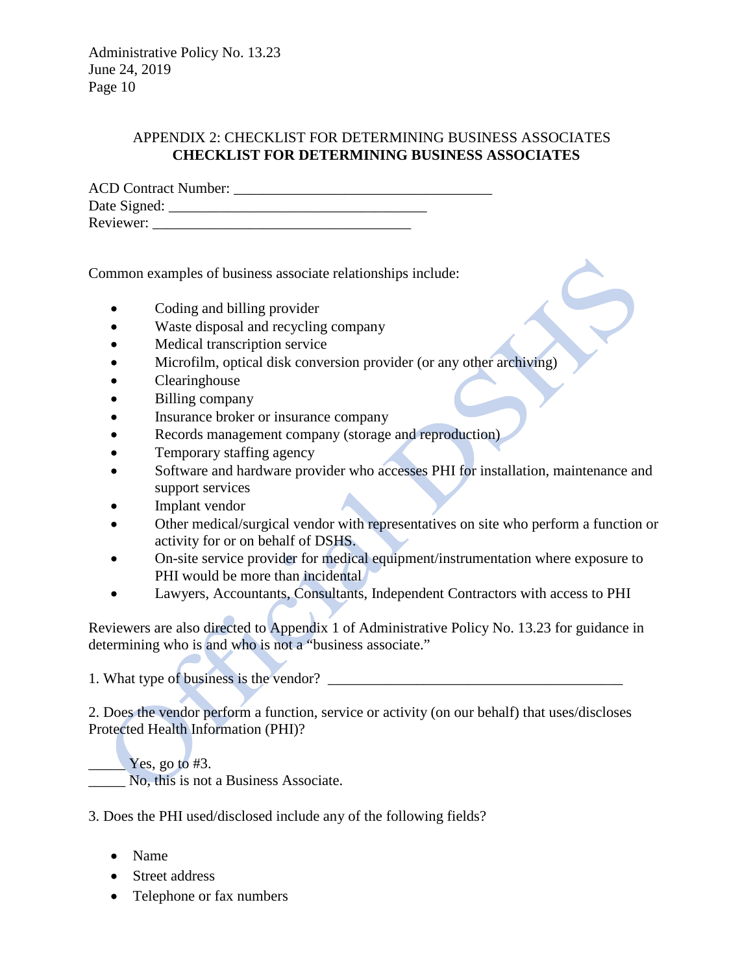### APPENDIX 2: CHECKLIST FOR DETERMINING BUSINESS ASSOCIATES **CHECKLIST FOR DETERMINING BUSINESS ASSOCIATES**

| <b>ACD Contract Number:</b> |  |
|-----------------------------|--|
| Date Signed:                |  |
| Reviewer:                   |  |

Common examples of business associate relationships include:

- Coding and billing provider
- Waste disposal and recycling company
- Medical transcription service
- Microfilm, optical disk conversion provider (or any other archiving)
- Clearinghouse
- Billing company
- Insurance broker or insurance company
- Records management company (storage and reproduction)
- Temporary staffing agency
- Software and hardware provider who accesses PHI for installation, maintenance and support services
- Implant vendor
- Other medical/surgical vendor with representatives on site who perform a function or activity for or on behalf of DSHS.
- On-site service provider for medical equipment/instrumentation where exposure to PHI would be more than incidental
- Lawyers, Accountants, Consultants, Independent Contractors with access to PHI

Reviewers are also directed to Appendix 1 of Administrative Policy No. 13.23 for guidance in determining who is and who is not a "business associate."

1. What type of business is the vendor? \_\_\_\_\_\_\_\_\_\_\_\_\_\_\_\_\_\_\_\_\_\_\_\_\_\_\_\_\_\_\_\_\_\_\_\_\_\_\_\_

2. Does the vendor perform a function, service or activity (on our behalf) that uses/discloses Protected Health Information (PHI)?

Yes, go to #3. No, this is not a Business Associate.

3. Does the PHI used/disclosed include any of the following fields?

- Name
- Street address
- Telephone or fax numbers